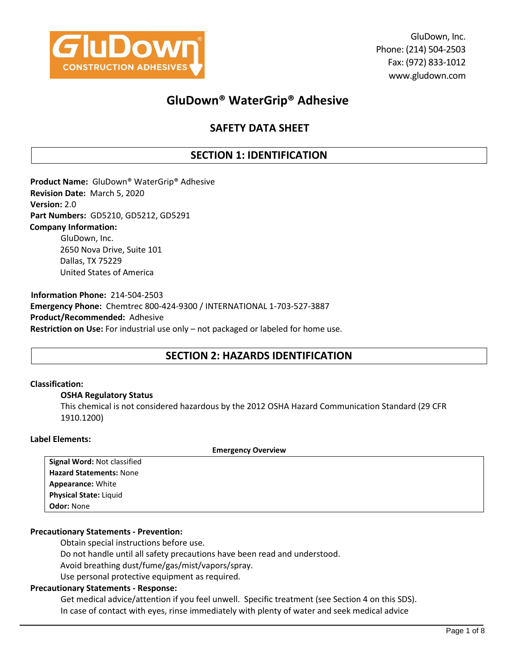

GluDown, Inc. Phone: (214) 504-2503 Fax: (972) 833-1012 www.gludown.com

# **GluDown® WaterGrip® Adhesive**

# **SAFETY DATA SHEET**

# **SECTION 1: IDENTIFICATION**

**Product Name:** GluDown® WaterGrip® Adhesive **Revision Date:** March 5, 2020 **Version:** 2.0 **Part Numbers:** GD5210, GD5212, GD5291 **Company Information:** GluDown, Inc. 2650 Nova Drive, Suite 101 Dallas, TX 75229 United States of America

**Information Phone:** 214-504-2503 **Emergency Phone:** Chemtrec 800-424-9300 / INTERNATIONAL 1-703-527-3887 **Product/Recommended:** Adhesive **Restriction on Use:** For industrial use only – not packaged or labeled for home use.

# **SECTION 2: HAZARDS IDENTIFICATION**

### **Classification:**

### **OSHA Regulatory Status**

This chemical is not considered hazardous by the 2012 OSHA Hazard Communication Standard (29 CFR 1910.1200)

### **Label Elements:**

|                                | <b>Emergency Overview</b> |
|--------------------------------|---------------------------|
| Signal Word: Not classified    |                           |
| <b>Hazard Statements: None</b> |                           |
| <b>Appearance: White</b>       |                           |
| <b>Physical State: Liquid</b>  |                           |
| <b>Odor: None</b>              |                           |

### **Precautionary Statements - Prevention:**

Obtain special instructions before use.

Do not handle until all safety precautions have been read and understood.

Avoid breathing dust/fume/gas/mist/vapors/spray.

Use personal protective equipment as required.

### **Precautionary Statements - Response:**

Get medical advice/attention if you feel unwell. Specific treatment (see Section 4 on this SDS). In case of contact with eyes, rinse immediately with plenty of water and seek medical advice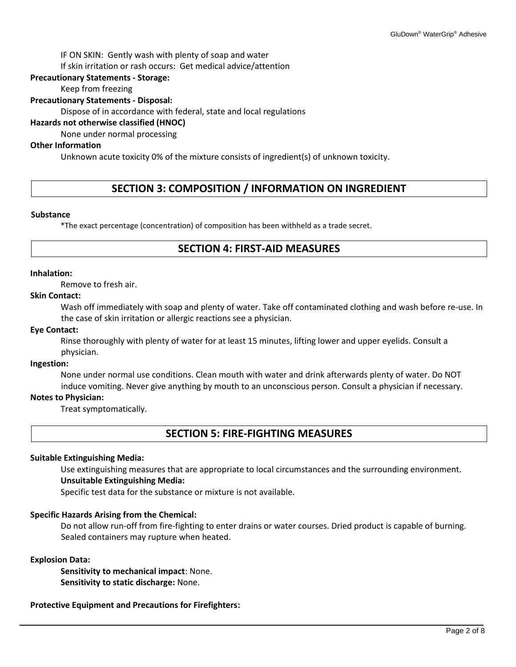IF ON SKIN: Gently wash with plenty of soap and water

If skin irritation or rash occurs: Get medical advice/attention

### **Precautionary Statements - Storage:**

Keep from freezing

### **Precautionary Statements - Disposal:**

Dispose of in accordance with federal, state and local regulations

### **Hazards not otherwise classified (HNOC)**

None under normal processing

### **Other Information**

Unknown acute toxicity 0% of the mixture consists of ingredient(s) of unknown toxicity.

# **SECTION 3: COMPOSITION / INFORMATION ON INGREDIENT**

### **Substance**

\*The exact percentage (concentration) of composition has been withheld as a trade secret.

# **SECTION 4: FIRST-AID MEASURES**

### **Inhalation:**

Remove to fresh air.

### **Skin Contact:**

Wash off immediately with soap and plenty of water. Take off contaminated clothing and wash before re-use. In the case of skin irritation or allergic reactions see a physician.

### **Eye Contact:**

Rinse thoroughly with plenty of water for at least 15 minutes, lifting lower and upper eyelids. Consult a physician.

### **Ingestion:**

None under normal use conditions. Clean mouth with water and drink afterwards plenty of water. Do NOT induce vomiting. Never give anything by mouth to an unconscious person. Consult a physician if necessary.

### **Notes to Physician:**

Treat symptomatically.

## **SECTION 5: FIRE-FIGHTING MEASURES**

### **Suitable Extinguishing Media:**

Use extinguishing measures that are appropriate to local circumstances and the surrounding environment. **Unsuitable Extinguishing Media:** 

Specific test data for the substance or mixture is not available.

### **Specific Hazards Arising from the Chemical:**

Do not allow run-off from fire-fighting to enter drains or water courses. Dried product is capable of burning. Sealed containers may rupture when heated.

### **Explosion Data:**

**Sensitivity to mechanical impact**: None. **Sensitivity to static discharge:** None.

### **Protective Equipment and Precautions for Firefighters:**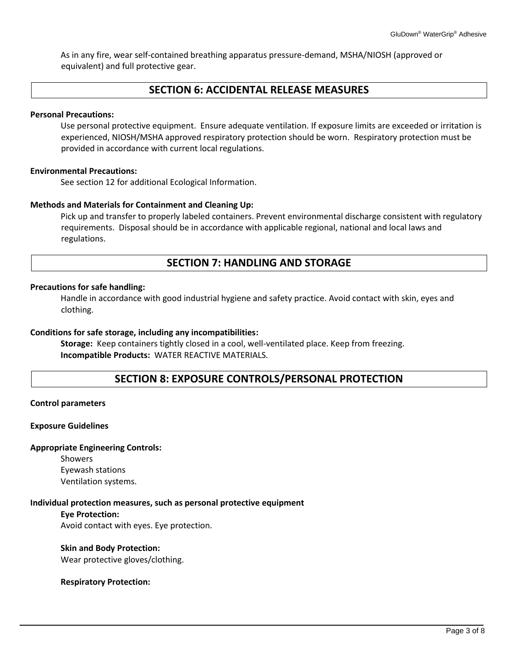As in any fire, wear self-contained breathing apparatus pressure-demand, MSHA/NIOSH (approved or equivalent) and full protective gear.

# **SECTION 6: ACCIDENTAL RELEASE MEASURES**

### **Personal Precautions:**

Use personal protective equipment. Ensure adequate ventilation. If exposure limits are exceeded or irritation is experienced, NIOSH/MSHA approved respiratory protection should be worn. Respiratory protection must be provided in accordance with current local regulations.

### **Environmental Precautions:**

See section 12 for additional Ecological Information.

### **Methods and Materials for Containment and Cleaning Up:**

Pick up and transfer to properly labeled containers. Prevent environmental discharge consistent with regulatory requirements. Disposal should be in accordance with applicable regional, national and local laws and regulations.

# **SECTION 7: HANDLING AND STORAGE**

### **Precautions for safe handling:**

Handle in accordance with good industrial hygiene and safety practice. Avoid contact with skin, eyes and clothing.

### **Conditions for safe storage, including any incompatibilities:**

**Storage:** Keep containers tightly closed in a cool, well-ventilated place. Keep from freezing. **Incompatible Products:** WATER REACTIVE MATERIALS.

## **SECTION 8: EXPOSURE CONTROLS/PERSONAL PROTECTION**

### **Control parameters**

### **Exposure Guidelines**

### **Appropriate Engineering Controls:**

Showers Eyewash stations Ventilation systems.

### **Individual protection measures, such as personal protective equipment**

**Eye Protection:**  Avoid contact with eyes. Eye protection.

### **Skin and Body Protection:**

Wear protective gloves/clothing.

### **Respiratory Protection:**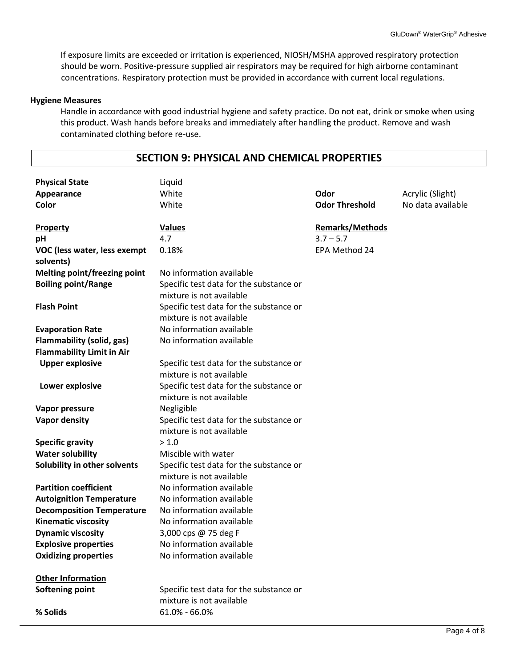If exposure limits are exceeded or irritation is experienced, NIOSH/MSHA approved respiratory protection should be worn. Positive-pressure supplied air respirators may be required for high airborne contaminant concentrations. Respiratory protection must be provided in accordance with current local regulations.

### **Hygiene Measures**

Handle in accordance with good industrial hygiene and safety practice. Do not eat, drink or smoke when using this product. Wash hands before breaks and immediately after handling the product. Remove and wash contaminated clothing before re-use.

# **SECTION 9: PHYSICAL AND CHEMICAL PROPERTIES**

| <b>Physical State</b><br>Appearance<br>Color                                                    | Liquid<br>White<br>White                                                                        | Odor<br><b>Odor Threshold</b>                          | Acrylic (Slight)<br>No data available |
|-------------------------------------------------------------------------------------------------|-------------------------------------------------------------------------------------------------|--------------------------------------------------------|---------------------------------------|
| <b>Property</b><br>pH<br>VOC (less water, less exempt                                           | <b>Values</b><br>4.7<br>0.18%                                                                   | <b>Remarks/Methods</b><br>$3.7 - 5.7$<br>EPA Method 24 |                                       |
| solvents)<br><b>Melting point/freezing point</b><br><b>Boiling point/Range</b>                  | No information available<br>Specific test data for the substance or<br>mixture is not available |                                                        |                                       |
| <b>Flash Point</b>                                                                              | Specific test data for the substance or<br>mixture is not available                             |                                                        |                                       |
| <b>Evaporation Rate</b><br><b>Flammability (solid, gas)</b><br><b>Flammability Limit in Air</b> | No information available<br>No information available                                            |                                                        |                                       |
| <b>Upper explosive</b>                                                                          | Specific test data for the substance or<br>mixture is not available                             |                                                        |                                       |
| Lower explosive                                                                                 | Specific test data for the substance or<br>mixture is not available                             |                                                        |                                       |
| Vapor pressure                                                                                  | Negligible                                                                                      |                                                        |                                       |
| Vapor density                                                                                   | Specific test data for the substance or<br>mixture is not available                             |                                                        |                                       |
| <b>Specific gravity</b>                                                                         | > 1.0                                                                                           |                                                        |                                       |
| <b>Water solubility</b>                                                                         | Miscible with water                                                                             |                                                        |                                       |
| Solubility in other solvents                                                                    | Specific test data for the substance or<br>mixture is not available                             |                                                        |                                       |
| <b>Partition coefficient</b>                                                                    | No information available                                                                        |                                                        |                                       |
| <b>Autoignition Temperature</b>                                                                 | No information available                                                                        |                                                        |                                       |
| <b>Decomposition Temperature</b>                                                                | No information available                                                                        |                                                        |                                       |
| <b>Kinematic viscosity</b>                                                                      | No information available                                                                        |                                                        |                                       |
| <b>Dynamic viscosity</b>                                                                        | 3,000 cps @ 75 deg F                                                                            |                                                        |                                       |
| <b>Explosive properties</b>                                                                     | No information available                                                                        |                                                        |                                       |
| <b>Oxidizing properties</b>                                                                     | No information available                                                                        |                                                        |                                       |
| <b>Other Information</b>                                                                        |                                                                                                 |                                                        |                                       |
| <b>Softening point</b>                                                                          | Specific test data for the substance or<br>mixture is not available                             |                                                        |                                       |
| % Solids                                                                                        | $61.0\% - 66.0\%$                                                                               |                                                        |                                       |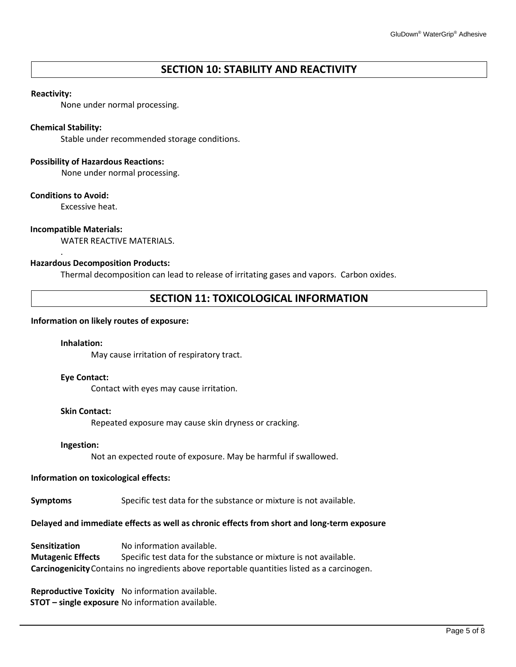# **SECTION 10: STABILITY AND REACTIVITY**

### **Reactivity:**

None under normal processing.

### **Chemical Stability:**

Stable under recommended storage conditions.

### **Possibility of Hazardous Reactions:**

None under normal processing.

### **Conditions to Avoid:**

.

Excessive heat.

### **Incompatible Materials:**

WATER REACTIVE MATERIALS.

### **Hazardous Decomposition Products:**

Thermal decomposition can lead to release of irritating gases and vapors. Carbon oxides.

## **SECTION 11: TOXICOLOGICAL INFORMATION**

### **Information on likely routes of exposure:**

### **Inhalation:**

May cause irritation of respiratory tract.

### **Eye Contact:**

Contact with eyes may cause irritation.

### **Skin Contact:**

Repeated exposure may cause skin dryness or cracking.

### **Ingestion:**

Not an expected route of exposure. May be harmful if swallowed.

### **Information on toxicological effects:**

**Symptoms** Specific test data for the substance or mixture is not available.

## **Delayed and immediate effects as well as chronic effects from short and long-term exposure**

**Sensitization** No information available. **Mutagenic Effects** Specific test data for the substance or mixture is not available. **Carcinogenicity**Contains no ingredients above reportable quantities listed as a carcinogen.

**Reproductive Toxicity** No information available. **STOT – single exposure** No information available.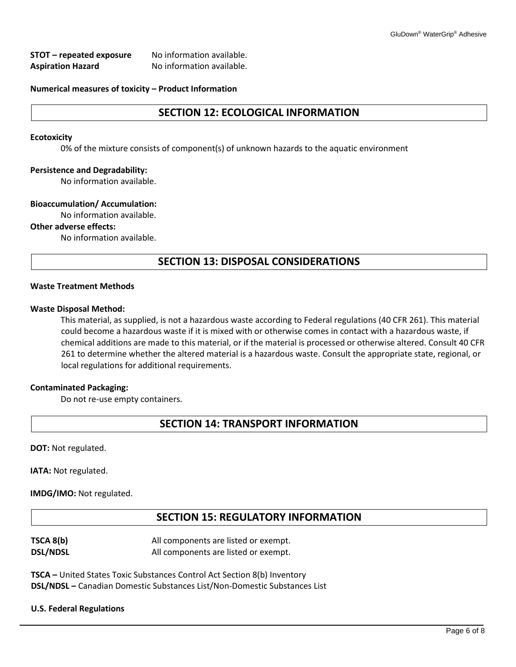| STOT – repeated exposure | No information available. |
|--------------------------|---------------------------|
| <b>Aspiration Hazard</b> | No information available. |

### **Numerical measures of toxicity – Product Information**

# **SECTION 12: ECOLOGICAL INFORMATION**

### **Ecotoxicity**

0% of the mixture consists of component(s) of unknown hazards to the aquatic environment

### **Persistence and Degradability:**

No information available.

### **Bioaccumulation/ Accumulation:**

No information available.

### **Other adverse effects:**

No information available.

## **SECTION 13: DISPOSAL CONSIDERATIONS**

### **Waste Treatment Methods**

### **Waste Disposal Method:**

This material, as supplied, is not a hazardous waste according to Federal regulations (40 CFR 261). This material could become a hazardous waste if it is mixed with or otherwise comes in contact with a hazardous waste, if chemical additions are made to this material, or if the material is processed or otherwise altered. Consult 40 CFR 261 to determine whether the altered material is a hazardous waste. Consult the appropriate state, regional, or local regulations for additional requirements.

### **Contaminated Packaging:**

Do not re-use empty containers.

## **SECTION 14: TRANSPORT INFORMATION**

**DOT:** Not regulated.

**IATA: Not regulated.** 

**IMDG/IMO:** Not regulated.

## **SECTION 15: REGULATORY INFORMATION**

| TSCA 8(b)       | All components are listed or exempt. |
|-----------------|--------------------------------------|
| <b>DSL/NDSL</b> | All components are listed or exempt. |

**TSCA –** United States Toxic Substances Control Act Section 8(b) Inventory **DSL/NDSL –** Canadian Domestic Substances List/Non-Domestic Substances List

### **U.S. Federal Regulations**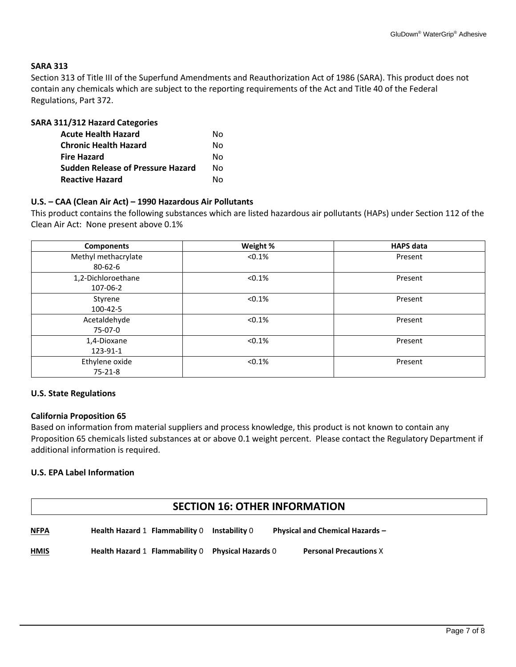### **SARA 313**

Section 313 of Title III of the Superfund Amendments and Reauthorization Act of 1986 (SARA). This product does not contain any chemicals which are subject to the reporting requirements of the Act and Title 40 of the Federal Regulations, Part 372.

| <b>SARA 311/312 Hazard Categories</b>    |    |
|------------------------------------------|----|
| <b>Acute Health Hazard</b>               | Nο |
| <b>Chronic Health Hazard</b>             | N٥ |
| <b>Fire Hazard</b>                       | N٥ |
| <b>Sudden Release of Pressure Hazard</b> | N٥ |
| <b>Reactive Hazard</b>                   | N٥ |

### **U.S. – CAA (Clean Air Act) – 1990 Hazardous Air Pollutants**

This product contains the following substances which are listed hazardous air pollutants (HAPs) under Section 112 of the Clean Air Act: None present above 0.1%

| <b>Components</b>   | Weight %  | <b>HAPS</b> data |
|---------------------|-----------|------------------|
| Methyl methacrylate | < 0.1%    | Present          |
| $80 - 62 - 6$       |           |                  |
| 1,2-Dichloroethane  | $< 0.1\%$ | Present          |
| 107-06-2            |           |                  |
| Styrene             | < 0.1%    | Present          |
| 100-42-5            |           |                  |
| Acetaldehyde        | < 0.1%    | Present          |
| 75-07-0             |           |                  |
| 1,4-Dioxane         | < 0.1%    | Present          |
| 123-91-1            |           |                  |
| Ethylene oxide      | < 0.1%    | Present          |
| $75 - 21 - 8$       |           |                  |

### **U.S. State Regulations**

### **California Proposition 65**

Based on information from material suppliers and process knowledge, this product is not known to contain any Proposition 65 chemicals listed substances at or above 0.1 weight percent. Please contact the Regulatory Department if additional information is required.

### **U.S. EPA Label Information**

# **SECTION 16: OTHER INFORMATION**

| <b>NFPA</b><br><u>.</u> | Health Hazard 1 Flammability 0 Instability 0 |                                                   | <b>Physical and Chemical Hazards -</b> |
|-------------------------|----------------------------------------------|---------------------------------------------------|----------------------------------------|
| <b>HMIS</b>             |                                              | Health Hazard 1 Flammability 0 Physical Hazards 0 | <b>Personal Precautions X</b>          |